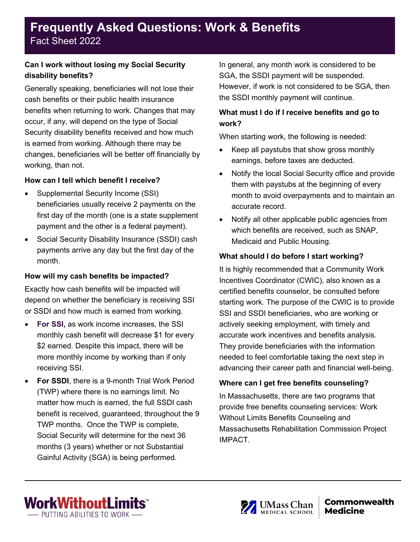# **Frequently Asked Questions: Work & Benefits** Fact Sheet 2022

### **Can I work without losing my Social Security disability benefits?**

Generally speaking, beneficiaries will not lose their cash benefits or their public health insurance benefits when returning to work. Changes that may occur, if any, will depend on the type of Social Security disability benefits received and how much is earned from working. Although there may be changes, beneficiaries will be better off financially by working, than not.

#### **How can I tell which benefit I receive?**

- Supplemental Security Income (SSI) beneficiaries usually receive 2 payments on the first day of the month (one is a state supplement payment and the other is a federal payment).
- Social Security Disability Insurance (SSDI) cash payments arrive any day but the first day of the month.

### **How will my cash benefits be impacted?**

Exactly how cash benefits will be impacted will depend on whether the beneficiary is receiving SSI or SSDI and how much is earned from working.

- **For SSI,** as work income increases, the SSI monthly cash benefit will decrease \$1 for every \$2 earned. Despite this impact, there will be more monthly income by working than if only receiving SSI.
- **For SSDI**, there is a 9-month Trial Work Period (TWP) where there is no earnings limit. No matter how much is earned, the full SSDI cash benefit is received, guaranteed, throughout the 9 TWP months. Once the TWP is complete, Social Security will determine for the next 36 months (3 years) whether or not Substantial Gainful Activity (SGA) is being performed.

In general, any month work is considered to be SGA, the SSDI payment will be suspended. However, if work is not considered to be SGA, then the SSDI monthly payment will continue.

# **What must I do if I receive benefits and go to work?**

When starting work, the following is needed:

- Keep all paystubs that show gross monthly earnings, before taxes are deducted.
- Notify the local Social Security office and provide them with paystubs at the beginning of every month to avoid overpayments and to maintain an accurate record.
- Notify all other applicable public agencies from which benefits are received, such as SNAP, Medicaid and Public Housing.

# **What should I do before I start working?**

It is highly recommended that a Community Work Incentives Coordinator (CWIC), also known as a certified benefits counselor, be consulted before starting work. The purpose of the CWIC is to provide SSI and SSDI beneficiaries, who are working or actively seeking employment, with timely and accurate work incentives and benefits analysis. They provide beneficiaries with the information needed to feel comfortable taking the next step in advancing their career path and financial well-being.

# **Where can I get free benefits counseling?**

In Massachusetts, there are two programs that provide free benefits counseling services: Work Without Limits Benefits Counseling and Massachusetts Rehabilitation Commission Project IMPACT.